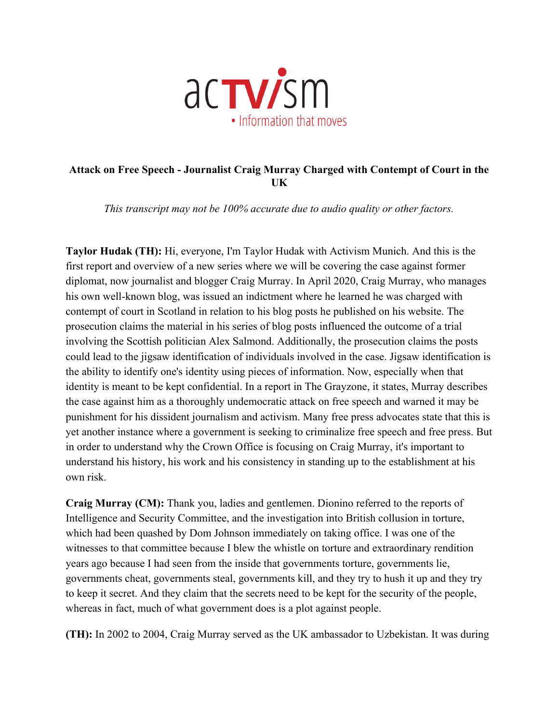

## **Attack on Free Speech - Journalist Craig Murray Charged with Contempt of Court in the UK**

*This transcript may not be 100% accurate due to audio quality or other factors.*

**Taylor Hudak (TH):** Hi, everyone, I'm Taylor Hudak with Activism Munich. And this is the first report and overview of a new series where we will be covering the case against former diplomat, now journalist and blogger Craig Murray. In April 2020, Craig Murray, who manages his own well-known blog, was issued an indictment where he learned he was charged with contempt of court in Scotland in relation to his blog posts he published on his website. The prosecution claims the material in his series of blog posts influenced the outcome of a trial involving the Scottish politician Alex Salmond. Additionally, the prosecution claims the posts could lead to the jigsaw identification of individuals involved in the case. Jigsaw identification is the ability to identify one's identity using pieces of information. Now, especially when that identity is meant to be kept confidential. In a report in The Grayzone, it states, Murray describes the case against him as a thoroughly undemocratic attack on free speech and warned it may be punishment for his dissident journalism and activism. Many free press advocates state that this is yet another instance where a government is seeking to criminalize free speech and free press. But in order to understand why the Crown Office is focusing on Craig Murray, it's important to understand his history, his work and his consistency in standing up to the establishment at his own risk.

**Craig Murray (CM):** Thank you, ladies and gentlemen. Dionino referred to the reports of Intelligence and Security Committee, and the investigation into British collusion in torture, which had been quashed by Dom Johnson immediately on taking office. I was one of the witnesses to that committee because I blew the whistle on torture and extraordinary rendition years ago because I had seen from the inside that governments torture, governments lie, governments cheat, governments steal, governments kill, and they try to hush it up and they try to keep it secret. And they claim that the secrets need to be kept for the security of the people, whereas in fact, much of what government does is a plot against people.

**(TH):** In 2002 to 2004, Craig Murray served as the UK ambassador to Uzbekistan. It was during